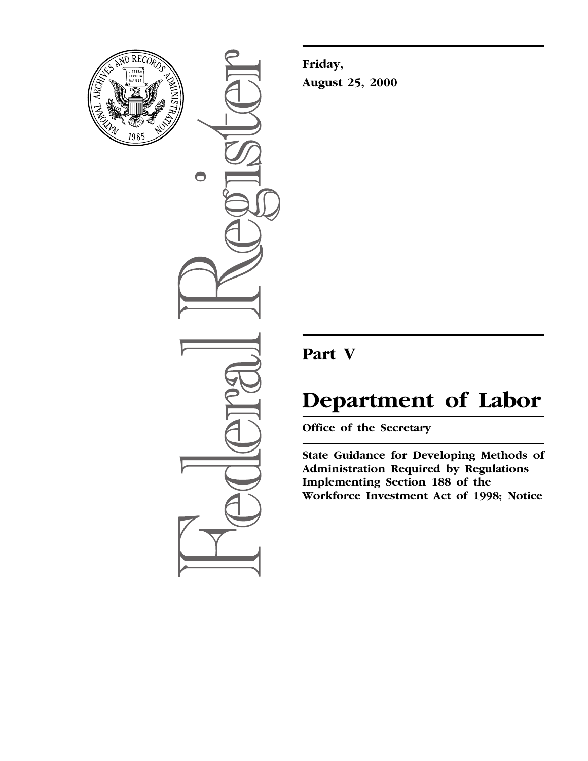

 $\bigcirc$ 

**Friday, August 25, 2000**

# **Part V**

# **Department of Labor**

**Office of the Secretary**

**State Guidance for Developing Methods of Administration Required by Regulations Implementing Section 188 of the Workforce Investment Act of 1998; Notice**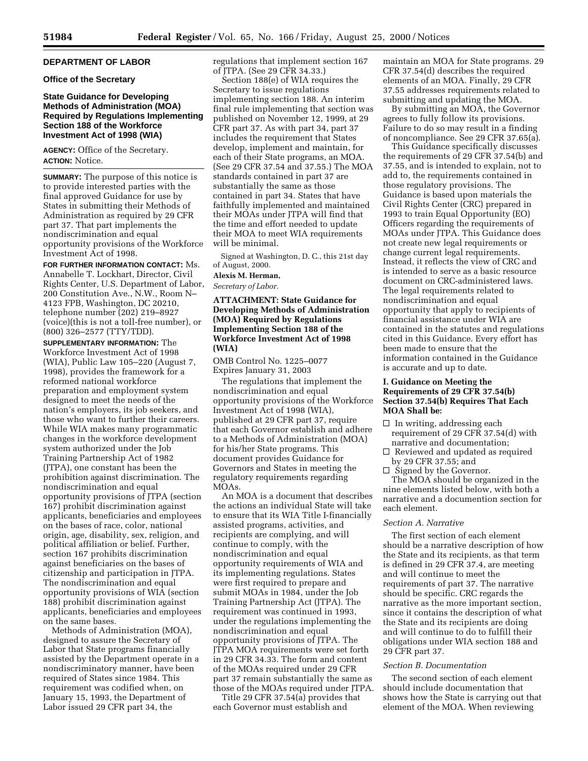# **DEPARTMENT OF LABOR**

# **Office of the Secretary**

# **State Guidance for Developing Methods of Administration (MOA) Required by Regulations Implementing Section 188 of the Workforce Investment Act of 1998 (WIA)**

**AGENCY:** Office of the Secretary. **ACTION:** Notice.

**SUMMARY:** The purpose of this notice is to provide interested parties with the final approved Guidance for use by States in submitting their Methods of Administration as required by 29 CFR part 37. That part implements the nondiscrimination and equal opportunity provisions of the Workforce Investment Act of 1998.

**FOR FURTHER INFORMATION CONTACT:** Ms. Annabelle T. Lockhart, Director, Civil Rights Center, U.S. Department of Labor, 200 Constitution Ave., N.W., Room N– 4123 FPB, Washington, DC 20210, telephone number (202) 219–8927 (voice)(this is not a toll-free number), or (800) 326–2577 (TTY/TDD).

**SUPPLEMENTARY INFORMATION:** The Workforce Investment Act of 1998 (WIA), Public Law 105–220 (August 7, 1998), provides the framework for a reformed national workforce preparation and employment system designed to meet the needs of the nation's employers, its job seekers, and those who want to further their careers. While WIA makes many programmatic changes in the workforce development system authorized under the Job Training Partnership Act of 1982 (JTPA), one constant has been the prohibition against discrimination. The nondiscrimination and equal opportunity provisions of JTPA (section 167) prohibit discrimination against applicants, beneficiaries and employees on the bases of race, color, national origin, age, disability, sex, religion, and political affiliation or belief. Further, section 167 prohibits discrimination against beneficiaries on the bases of citizenship and participation in JTPA. The nondiscrimination and equal opportunity provisions of WIA (section 188) prohibit discrimination against applicants, beneficiaries and employees on the same bases.

Methods of Administration (MOA), designed to assure the Secretary of Labor that State programs financially assisted by the Department operate in a nondiscriminatory manner, have been required of States since 1984. This requirement was codified when, on January 15, 1993, the Department of Labor issued 29 CFR part 34, the

regulations that implement section 167 of JTPA. (See 29 CFR 34.33.)

Section 188(e) of WIA requires the Secretary to issue regulations implementing section 188. An interim final rule implementing that section was published on November 12, 1999, at 29 CFR part 37. As with part 34, part 37 includes the requirement that States develop, implement and maintain, for each of their State programs, an MOA. (See 29 CFR 37.54 and 37.55.) The MOA standards contained in part 37 are substantially the same as those contained in part 34. States that have faithfully implemented and maintained their MOAs under JTPA will find that the time and effort needed to update their MOA to meet WIA requirements will be minimal.

Signed at Washington, D. C., this 21st day of August, 2000.

# **Alexis M. Herman,**

*Secretary of Labor.*

# **ATTACHMENT: State Guidance for Developing Methods of Administration (MOA) Required by Regulations Implementing Section 188 of the Workforce Investment Act of 1998 (WIA)**

OMB Control No. 1225–0077 Expires January 31, 2003

The regulations that implement the nondiscrimination and equal opportunity provisions of the Workforce Investment Act of 1998 (WIA), published at 29 CFR part 37, require that each Governor establish and adhere to a Methods of Administration (MOA) for his/her State programs. This document provides Guidance for Governors and States in meeting the regulatory requirements regarding MOAs.

An MOA is a document that describes the actions an individual State will take to ensure that its WIA Title I-financially assisted programs, activities, and recipients are complying, and will continue to comply, with the nondiscrimination and equal opportunity requirements of WIA and its implementing regulations. States were first required to prepare and submit MOAs in 1984, under the Job Training Partnership Act (JTPA). The requirement was continued in 1993, under the regulations implementing the nondiscrimination and equal opportunity provisions of JTPA. The JTPA MOA requirements were set forth in 29 CFR 34.33. The form and content of the MOAs required under 29 CFR part 37 remain substantially the same as those of the MOAs required under JTPA.

Title 29 CFR 37.54(a) provides that each Governor must establish and

maintain an MOA for State programs. 29 CFR 37.54(d) describes the required elements of an MOA. Finally, 29 CFR 37.55 addresses requirements related to submitting and updating the MOA.

By submitting an MOA, the Governor agrees to fully follow its provisions. Failure to do so may result in a finding of noncompliance. See 29 CFR 37.65(a).

This Guidance specifically discusses the requirements of 29 CFR 37.54(b) and 37.55, and is intended to explain, not to add to, the requirements contained in those regulatory provisions. The Guidance is based upon materials the Civil Rights Center (CRC) prepared in 1993 to train Equal Opportunity (EO) Officers regarding the requirements of MOAs under JTPA. This Guidance does not create new legal requirements or change current legal requirements. Instead, it reflects the view of CRC and is intended to serve as a basic resource document on CRC-administered laws. The legal requirements related to nondiscrimination and equal opportunity that apply to recipients of financial assistance under WIA are contained in the statutes and regulations cited in this Guidance. Every effort has been made to ensure that the information contained in the Guidance is accurate and up to date.

# **I. Guidance on Meeting the Requirements of 29 CFR 37.54(b) Section 37.54(b) Requires That Each MOA Shall be:**

- $\square$  In writing, addressing each requirement of 29 CFR 37.54(d) with narrative and documentation;
- $\square$  Reviewed and updated as required by 29 CFR 37.55; and
- $\Box$  Signed by the Governor.

The MOA should be organized in the nine elements listed below, with both a narrative and a documention section for each element.

# *Section A. Narrative*

The first section of each element should be a narrative description of how the State and its recipients, as that term is defined in 29 CFR 37.4, are meeting and will continue to meet the requirements of part 37. The narrative should be specific. CRC regards the narrative as the more important section, since it contains the description of what the State and its recipients are doing and will continue to do to fulfill their obligations under WIA section 188 and 29 CFR part 37.

#### *Section B. Documentation*

The second section of each element should include documentation that shows how the State is carrying out that element of the MOA. When reviewing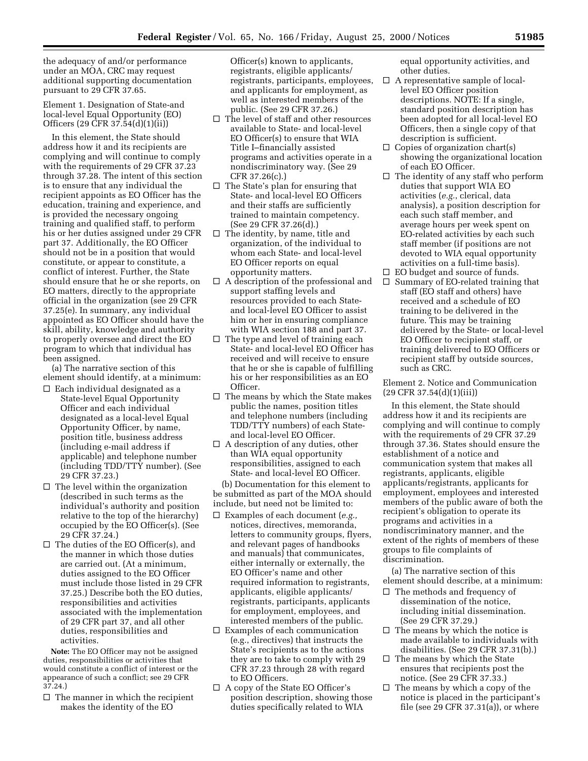the adequacy of and/or performance under an MOA, CRC may request additional supporting documentation pursuant to 29 CFR 37.65.

Element 1. Designation of State-and local-level Equal Opportunity (EO) Officers (29 CFR 37.54(d)(1)(ii))

In this element, the State should address how it and its recipients are complying and will continue to comply with the requirements of 29 CFR 37.23 through 37.28. The intent of this section is to ensure that any individual the recipient appoints as EO Officer has the education, training and experience, and is provided the necessary ongoing training and qualified staff, to perform his or her duties assigned under 29 CFR part 37. Additionally, the EO Officer should not be in a position that would constitute, or appear to constitute, a conflict of interest. Further, the State should ensure that he or she reports, on EO matters, directly to the appropriate official in the organization (see 29 CFR 37.25(e). In summary, any individual appointed as EO Officer should have the skill, ability, knowledge and authority to properly oversee and direct the EO program to which that individual has been assigned.

(a) The narrative section of this element should identify, at a minimum:

- $\square$  Each individual designated as a State-level Equal Opportunity Officer and each individual designated as a local-level Equal Opportunity Officer, by name, position title, business address (including e-mail address if applicable) and telephone number (including TDD/TTY number). (See 29 CFR 37.23.)
- $\Box$  The level within the organization (described in such terms as the individual's authority and position relative to the top of the hierarchy) occupied by the EO Officer(s). (See 29 CFR 37.24.)
- $\Box$  The duties of the EO Officer(s), and the manner in which those duties are carried out. (At a minimum, duties assigned to the EO Officer must include those listed in 29 CFR 37.25.) Describe both the EO duties, responsibilities and activities associated with the implementation of 29 CFR part 37, and all other duties, responsibilities and activities.

**Note:** The EO Officer may not be assigned duties, responsibilities or activities that would constitute a conflict of interest or the appearance of such a conflict; see 29 CFR 37.24.)

 $\Box$  The manner in which the recipient makes the identity of the EO

Officer(s) known to applicants, registrants, eligible applicants/ registrants, participants, employees, and applicants for employment, as well as interested members of the public. (See 29 CFR 37.26.)

- $\Box$  The level of staff and other resources available to State- and local-level EO Officer(s) to ensure that WIA Title I–financially assisted programs and activities operate in a nondiscriminatory way. (See 29 CFR 37.26(c).)
- $\Box$  The State's plan for ensuring that State- and local-level EO Officers and their staffs are sufficiently trained to maintain competency. (See 29 CFR 37.26(d).)
- $\Box$  The identity, by name, title and organization, of the individual to whom each State- and local-level EO Officer reports on equal opportunity matters.
- $\Box$  A description of the professional and support staffing levels and resources provided to each Stateand local-level EO Officer to assist him or her in ensuring compliance with WIA section 188 and part 37.
- $\Box$  The type and level of training each State- and local-level EO Officer has received and will receive to ensure that he or she is capable of fulfilling his or her responsibilities as an EO Officer.
- $\square$  The means by which the State makes public the names, position titles and telephone numbers (including TDD/TTY numbers) of each Stateand local-level EO Officer.
- $\Box$  A description of any duties, other than WIA equal opportunity responsibilities, assigned to each State- and local-level EO Officer.

(b) Documentation for this element to be submitted as part of the MOA should include, but need not be limited to:

- b Examples of each document (*e.g.,* notices, directives, memoranda, letters to community groups, flyers, and relevant pages of handbooks and manuals) that communicates, either internally or externally, the EO Officer's name and other required information to registrants, applicants, eligible applicants/ registrants, participants, applicants for employment, employees, and interested members of the public.
- $\square$  Examples of each communication (e.g., directives) that instructs the State's recipients as to the actions they are to take to comply with 29 CFR 37.23 through 28 with regard to EO Officers.
- $\Box$  A copy of the State EO Officer's position description, showing those duties specifically related to WIA

equal opportunity activities, and other duties.

- $\Box$  A representative sample of locallevel EO Officer position descriptions. NOTE: If a single, standard position description has been adopted for all local-level EO Officers, then a single copy of that description is sufficient.
- $\Box$  Copies of organization chart(s) showing the organizational location of each EO Officer.
- $\square$  The identity of any staff who perform duties that support WIA EO activities (*e.g.*, clerical, data analysis), a position description for each such staff member, and average hours per week spent on EO-related activities by each such staff member (if positions are not devoted to WIA equal opportunity activities on a full-time basis).
- $\Box$  EO budget and source of funds.
- $\Box$  Summary of EO-related training that staff (EO staff and others) have received and a schedule of EO training to be delivered in the future. This may be training delivered by the State- or local-level EO Officer to recipient staff, or training delivered to EO Officers or recipient staff by outside sources, such as CRC.

Element 2. Notice and Communication  $(29$  CFR 37.54 $(d)(1)(iii)$ 

In this element, the State should address how it and its recipients are complying and will continue to comply with the requirements of 29 CFR 37.29 through 37.36. States should ensure the establishment of a notice and communication system that makes all registrants, applicants, eligible applicants/registrants, applicants for employment, employees and interested members of the public aware of both the recipient's obligation to operate its programs and activities in a nondiscriminatory manner, and the extent of the rights of members of these groups to file complaints of discrimination.

(a) The narrative section of this element should describe, at a minimum:

- $\Box$  The methods and frequency of dissemination of the notice, including initial dissemination. (See 29 CFR 37.29.)
- $\square$  The means by which the notice is made available to individuals with disabilities. (See 29 CFR 37.31(b).)
- $\square$  The means by which the State ensures that recipients post the notice. (See 29 CFR 37.33.)
- $\Box$  The means by which a copy of the notice is placed in the participant's file (see 29 CFR 37.31(a)), or where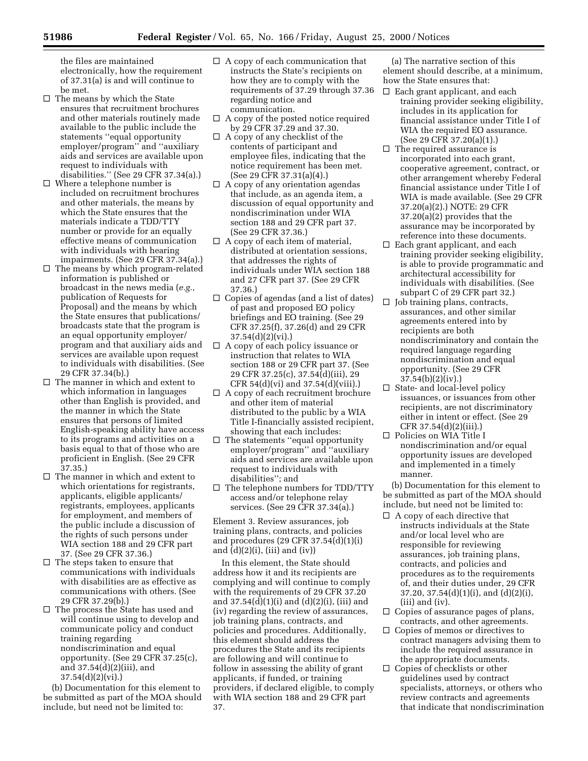the files are maintained electronically, how the requirement of 37.31(a) is and will continue to be met.

- $\Box$  The means by which the State ensures that recruitment brochures and other materials routinely made available to the public include the statements ''equal opportunity employer/program'' and ''auxiliary aids and services are available upon request to individuals with disabilities.'' (See 29 CFR 37.34(a).)
- $\square$  Where a telephone number is included on recruitment brochures and other materials, the means by which the State ensures that the materials indicate a TDD/TTY number or provide for an equally effective means of communication with individuals with hearing impairments. (See 29 CFR 37.34(a).)
- $\Box$  The means by which program-related information is published or broadcast in the news media (*e.g.*, publication of Requests for Proposal) and the means by which the State ensures that publications/ broadcasts state that the program is an equal opportunity employer/ program and that auxiliary aids and services are available upon request to individuals with disabilities. (See 29 CFR 37.34(b).)
- $\Box$  The manner in which and extent to which information in languages other than English is provided, and the manner in which the State ensures that persons of limited English-speaking ability have access to its programs and activities on a basis equal to that of those who are proficient in English. (See 29 CFR 37.35.)
- $\Box$  <br> The manner in which and extent to which orientations for registrants, applicants, eligible applicants/ registrants, employees, applicants for employment, and members of the public include a discussion of the rights of such persons under WIA section 188 and 29 CFR part 37. (See 29 CFR 37.36.)
- $\Box$  The steps taken to ensure that communications with individuals with disabilities are as effective as communications with others. (See 29 CFR 37.29(b).)
- $\square$  The process the State has used and will continue using to develop and communicate policy and conduct training regarding nondiscrimination and equal opportunity. (See 29 CFR 37.25(c), and 37.54(d)(2)(iii), and 37.54(d)(2)(vi).)

(b) Documentation for this element to be submitted as part of the MOA should include, but need not be limited to:

- $\Box$  A copy of each communication that instructs the State's recipients on how they are to comply with the requirements of 37.29 through 37.36 regarding notice and communication.
- $\Box$  A copy of the posted notice required by 29 CFR 37.29 and 37.30.
- $\Box$  A copy of any checklist of the contents of participant and employee files, indicating that the notice requirement has been met. (See 29 CFR 37.31(a)(4).)
- $\Box$  A copy of any orientation agendas that include, as an agenda item, a discussion of equal opportunity and nondiscrimination under WIA section 188 and 29 CFR part 37. (See 29 CFR 37.36.)
- $\Box$  A copy of each item of material, distributed at orientation sessions, that addresses the rights of individuals under WIA section 188 and 27 CFR part 37. (See 29 CFR 37.36.)
- $\Box$  Copies of agendas (and a list of dates) of past and proposed EO policy briefings and EO training. (See 29 CFR 37.25(f), 37.26(d) and 29 CFR 37.54(d)(2)(vi).)
- $\Box$  A copy of each policy issuance or instruction that relates to WIA section 188 or 29 CFR part 37. (See 29 CFR 37.25(c), 37.54(d)(iii), 29 CFR 54(d)(vi) and 37.54(d)(viii).)
- $\Box$  A copy of each recruitment brochure and other item of material distributed to the public by a WIA Title I-financially assisted recipient, showing that each includes:
- $\Box$  The statements "equal opportunity" employer/program'' and ''auxiliary aids and services are available upon request to individuals with disabilities''; and
- $\square$  The telephone numbers for TDD/TTY access and/or telephone relay services. (See 29 CFR 37.34(a).)

Element 3. Review assurances, job training plans, contracts, and policies and procedures (29 CFR 37.54(d)(1)(i) and  $(d)(2)(i)$ ,  $(iii)$  and  $(iv)$ )

In this element, the State should address how it and its recipients are complying and will continue to comply with the requirements of 29 CFR 37.20 and  $37.54(d)(1)(i)$  and  $(d)(2)(i)$ , (iii) and (iv) regarding the review of assurances, job training plans, contracts, and policies and procedures. Additionally, this element should address the procedures the State and its recipients are following and will continue to follow in assessing the ability of grant applicants, if funded, or training providers, if declared eligible, to comply with WIA section 188 and 29 CFR part 37.

(a) The narrative section of this element should describe, at a minimum, how the State ensures that:

- $\Box$  Each grant applicant, and each training provider seeking eligibility, includes in its application for financial assistance under Title I of WIA the required EO assurance. (See 29 CFR 37.20(a)(1).)
- $\Box$  The required assurance is incorporated into each grant, cooperative agreement, contract, or other arrangement whereby Federal financial assistance under Title I of WIA is made available. (See 29 CFR 37.20(a)(2).) NOTE: 29 CFR 37.20(a)(2) provides that the assurance may be incorporated by reference into these documents.
- $\square$  Each grant applicant, and each training provider seeking eligibility, is able to provide programmatic and architectural accessibility for individuals with disabilities. (See subpart C of 29 CFR part 32.)
- $\Box$  Job training plans, contracts, assurances, and other similar agreements entered into by recipients are both nondiscriminatory and contain the required language regarding nondiscrimination and equal opportunity. (See 29 CFR 37.54(b)(2)(iv).)
- $\square$  State- and local-level policy issuances, or issuances from other recipients, are not discriminatory either in intent or effect. (See 29 CFR 37.54(d)(2)(iii).)
- $\square$  Policies on WIA Title I nondiscrimination and/or equal opportunity issues are developed and implemented in a timely manner.

(b) Documentation for this element to be submitted as part of the MOA should include, but need not be limited to:

- $\Box$  A copy of each directive that instructs individuals at the State and/or local level who are responsible for reviewing assurances, job training plans, contracts, and policies and procedures as to the requirements of, and their duties under, 29 CFR  $37.20$ ,  $37.54(d)(1)(i)$ , and  $(d)(2)(i)$ , (iii) and (iv).
- $\square$  Copies of assurance pages of plans, contracts, and other agreements.
- $\Box$  Copies of memos or directives to contract managers advising them to include the required assurance in the appropriate documents.
- $\square$  Copies of checklists or other guidelines used by contract specialists, attorneys, or others who review contracts and agreements that indicate that nondiscrimination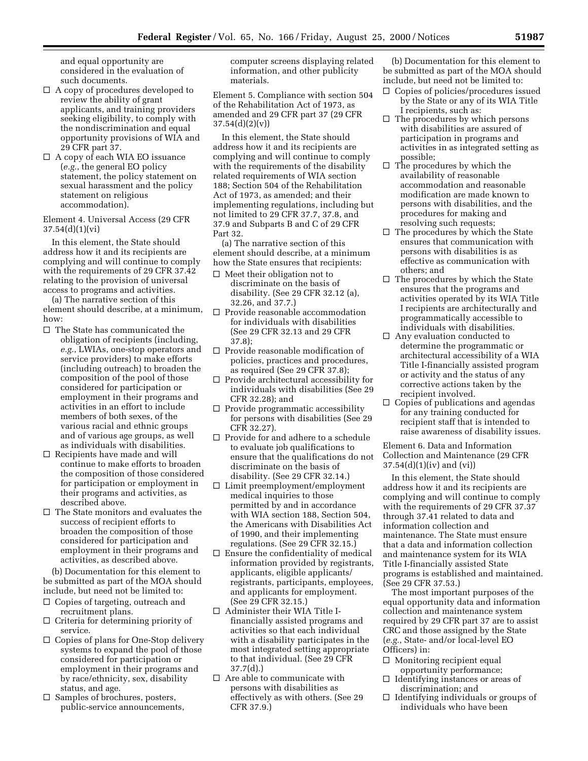and equal opportunity are considered in the evaluation of such documents.

- $\Box$  A copy of procedures developed to review the ability of grant applicants, and training providers seeking eligibility, to comply with the nondiscrimination and equal opportunity provisions of WIA and 29 CFR part 37.
- $\Box$  A copy of each WIA EO issuance (*e.g.*, the general EO policy statement, the policy statement on sexual harassment and the policy statement on religious accommodation).

Element 4. Universal Access (29 CFR 37.54(d)(1)(vi)

In this element, the State should address how it and its recipients are complying and will continue to comply with the requirements of 29 CFR 37.42 relating to the provision of universal access to programs and activities.

(a) The narrative section of this element should describe, at a minimum, how:

- $\Box$  The State has communicated the obligation of recipients (including, *e.g.*, LWIAs, one-stop operators and service providers) to make efforts (including outreach) to broaden the composition of the pool of those considered for participation or employment in their programs and activities in an effort to include members of both sexes, of the various racial and ethnic groups and of various age groups, as well as individuals with disabilities.
- $\square$  Recipients have made and will continue to make efforts to broaden the composition of those considered for participation or employment in their programs and activities, as described above.
- $\Box$  The State monitors and evaluates the success of recipient efforts to broaden the composition of those considered for participation and employment in their programs and activities, as described above.

(b) Documentation for this element to be submitted as part of the MOA should include, but need not be limited to:

- $\Box$  Copies of targeting, outreach and recruitment plans.
- $\hfill\Box$  <br> Criteria for determining priority of service.
- $\Box$  Copies of plans for One-Stop delivery systems to expand the pool of those considered for participation or employment in their programs and by race/ethnicity, sex, disability status, and age.
- $\square$  Samples of brochures, posters, public-service announcements,

computer screens displaying related information, and other publicity materials.

Element 5. Compliance with section 504 of the Rehabilitation Act of 1973, as amended and 29 CFR part 37 (29 CFR  $37.54(d)(2)(v)$ 

In this element, the State should address how it and its recipients are complying and will continue to comply with the requirements of the disability related requirements of WIA section 188; Section 504 of the Rehabilitation Act of 1973, as amended; and their implementing regulations, including but not limited to 29 CFR 37.7, 37.8, and 37.9 and Subparts B and C of 29 CFR Part 32.

(a) The narrative section of this element should describe, at a minimum how the State ensures that recipients:

- $\Box$  Meet their obligation not to discriminate on the basis of disability. (See 29 CFR 32.12 (a), 32.26, and 37.7.)
- $\Box$  Provide reasonable accommodation for individuals with disabilities (See 29 CFR 32.13 and 29 CFR 37.8);
- $\Box$  Provide reasonable modification of policies, practices and procedures, as required (See 29 CFR 37.8);
- $\Box$  Provide architectural accessibility for individuals with disabilities (See 29 CFR 32.28); and
- $\Box$  Provide programmatic accessibility for persons with disabilities (See 29 CFR 32.27).
- $\Box$  Provide for and adhere to a schedule to evaluate job qualifications to ensure that the qualifications do not discriminate on the basis of disability. (See 29 CFR 32.14.)
- $\square$  Limit preemployment/employment medical inquiries to those permitted by and in accordance with WIA section 188, Section 504, the Americans with Disabilities Act of 1990, and their implementing regulations. (See 29 CFR 32.15.)
- $\Box$  Ensure the confidentiality of medical information provided by registrants, applicants, eligible applicants/ registrants, participants, employees, and applicants for employment. (See 29 CFR 32.15.)
- $\Box$  Administer their WIA Title Ifinancially assisted programs and activities so that each individual with a disability participates in the most integrated setting appropriate to that individual. (See 29 CFR 37.7(d).)
- $\Box$  Are able to communicate with persons with disabilities as effectively as with others. (See 29 CFR 37.9.)

(b) Documentation for this element to be submitted as part of the MOA should include, but need not be limited to:

- $\Box$  Copies of policies/procedures issued by the State or any of its WIA Title I recipients, such as:
- $\Box$  The procedures by which persons with disabilities are assured of participation in programs and activities in as integrated setting as possible;
- $\Box$  The procedures by which the availability of reasonable accommodation and reasonable modification are made known to persons with disabilities, and the procedures for making and resolving such requests;
- $\square$  The procedures by which the State ensures that communication with persons with disabilities is as effective as communication with others; and
- $\Box$  The procedures by which the State ensures that the programs and activities operated by its WIA Title I recipients are architecturally and programmatically accessible to individuals with disabilities.
- $\Box$  Any evaluation conducted to determine the programmatic or architectural accessibility of a WIA Title I-financially assisted program or activity and the status of any corrective actions taken by the recipient involved.
- $\Box$  Copies of publications and agendas for any training conducted for recipient staff that is intended to raise awareness of disability issues.

Element 6. Data and Information Collection and Maintenance (29 CFR 37.54(d)(1)(iv) and (vi))

In this element, the State should address how it and its recipients are complying and will continue to comply with the requirements of 29 CFR 37.37 through 37.41 related to data and information collection and maintenance. The State must ensure that a data and information collection and maintenance system for its WIA Title I-financially assisted State programs is established and maintained. (See 29 CFR 37.53.)

The most important purposes of the equal opportunity data and information collection and maintenance system required by 29 CFR part 37 are to assist CRC and those assigned by the State (*e.g.*, State- and/or local-level EO Officers) in:

- $\Box$  Monitoring recipient equal opportunity performance;
- $\Box$  Identifying instances or areas of discrimination; and
- $\Box$  Identifying individuals or groups of individuals who have been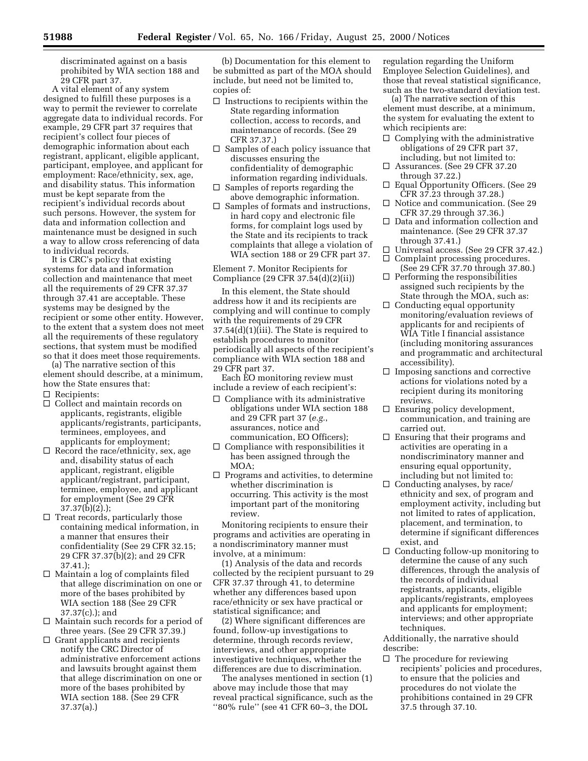discriminated against on a basis prohibited by WIA section 188 and 29 CFR part 37.

A vital element of any system designed to fulfill these purposes is a way to permit the reviewer to correlate aggregate data to individual records. For example, 29 CFR part 37 requires that recipient's collect four pieces of demographic information about each registrant, applicant, eligible applicant, participant, employee, and applicant for employment: Race/ethnicity, sex, age, and disability status. This information must be kept separate from the recipient's individual records about such persons. However, the system for data and information collection and maintenance must be designed in such a way to allow cross referencing of data to individual records.

It is CRC's policy that existing systems for data and information collection and maintenance that meet all the requirements of 29 CFR 37.37 through 37.41 are acceptable. These systems may be designed by the recipient or some other entity. However, to the extent that a system does not meet all the requirements of these regulatory sections, that system must be modified so that it does meet those requirements.

(a) The narrative section of this element should describe, at a minimum, how the State ensures that:

- $\Box$  Recipients:
- $\Box$  Collect and maintain records on applicants, registrants, eligible applicants/registrants, participants, terminees, employees, and applicants for employment;
- $\Box$  Record the race/ethnicity, sex, age and, disability status of each applicant, registrant, eligible applicant/registrant, participant, terminee, employee, and applicant for employment (See 29 CFR 37.37(b)(2).);
- $\Box$  Treat records, particularly those containing medical information, in a manner that ensures their confidentiality (See 29 CFR 32.15; 29 CFR 37.37(b)(2); and 29 CFR 37.41.);
- $\Box$  Maintain a log of complaints filed that allege discrimination on one or more of the bases prohibited by WIA section 188 (See 29 CFR 37.37(c).); and
- $\Box$  Maintain such records for a period of three years. (See 29 CFR 37.39.)
- $\Box$  Grant applicants and recipients notify the CRC Director of administrative enforcement actions and lawsuits brought against them that allege discrimination on one or more of the bases prohibited by WIA section 188. (See 29 CFR 37.37(a).)

(b) Documentation for this element to be submitted as part of the MOA should include, but need not be limited to, copies of:

- $\Box$  Instructions to recipients within the State regarding information collection, access to records, and maintenance of records. (See 29 CFR 37.37.)
- $\Box$  Samples of each policy issuance that discusses ensuring the confidentiality of demographic information regarding individuals.
- $\Box$  Samples of reports regarding the above demographic information.
- $\square$  Samples of formats and instructions, in hard copy and electronic file forms, for complaint logs used by the State and its recipients to track complaints that allege a violation of WIA section 188 or 29 CFR part 37.

Element 7. Monitor Recipients for Compliance (29 CFR 37.54(d)(2)(ii))

In this element, the State should address how it and its recipients are complying and will continue to comply with the requirements of 29 CFR 37.54(d)(1)(iii). The State is required to establish procedures to monitor periodically all aspects of the recipient's compliance with WIA section 188 and 29 CFR part 37.

Each EO monitoring review must include a review of each recipient's:

- $\Box$  Compliance with its administrative obligations under WIA section 188 and 29 CFR part 37 (*e.g.*, assurances, notice and communication, EO Officers);
- $\Box$  Compliance with responsibilities it has been assigned through the MOA;
- $\Box$  Programs and activities, to determine whether discrimination is occurring. This activity is the most important part of the monitoring review.

Monitoring recipients to ensure their programs and activities are operating in a nondiscriminatory manner must involve, at a minimum:

(1) Analysis of the data and records collected by the recipient pursuant to 29 CFR 37.37 through 41, to determine whether any differences based upon race/ethnicity or sex have practical or statistical significance; and

(2) Where significant differences are found, follow-up investigations to determine, through records review, interviews, and other appropriate investigative techniques, whether the differences are due to discrimination.

The analyses mentioned in section (1) above may include those that may reveal practical significance, such as the ''80% rule'' (see 41 CFR 60–3, the DOL

regulation regarding the Uniform Employee Selection Guidelines), and those that reveal statistical significance, such as the two-standard deviation test.

(a) The narrative section of this element must describe, at a minimum, the system for evaluating the extent to which recipients are:

- $\Box$  Complying with the administrative obligations of 29 CFR part 37, including, but not limited to:
- $\Box$  Assurances. (See 29 CFR 37.20 through 37.22.)
- $\Box$  Equal Opportunity Officers. (See 29 CFR 37.23 through 37.28.)
- $\Box$  Notice and communication. (See 29 CFR 37.29 through 37.36.)
- $\Box$  Data and information collection and maintenance. (See 29 CFR 37.37 through 37.41.)
- □ Universal access. (See 29 CFR 37.42.)  $\Box$  Complaint processing procedures.
- (See 29 CFR 37.70 through 37.80.)  $\Box$  Performing the responsibilities assigned such recipients by the State through the MOA, such as:
- $\hfill\Box$  <br> Conducting equal opportunity monitoring/evaluation reviews of applicants for and recipients of WIA Title I financial assistance (including monitoring assurances and programmatic and architectural accessibility).
- $\Box$  Imposing sanctions and corrective actions for violations noted by a recipient during its monitoring reviews.
- $\square$  Ensuring policy development, communication, and training are carried out.
- $\square$  Ensuring that their programs and activities are operating in a nondiscriminatory manner and ensuring equal opportunity, including but not limited to:
- $\Box$  Conducting analyses, by race/ ethnicity and sex, of program and employment activity, including but not limited to rates of application, placement, and termination, to determine if significant differences exist, and
- $\Box$  Conducting follow-up monitoring to determine the cause of any such differences, through the analysis of the records of individual registrants, applicants, eligible applicants/registrants, employees and applicants for employment; interviews; and other appropriate techniques.

Additionally, the narrative should describe:

 $\square$  The procedure for reviewing recipients' policies and procedures, to ensure that the policies and procedures do not violate the prohibitions contained in 29 CFR 37.5 through 37.10.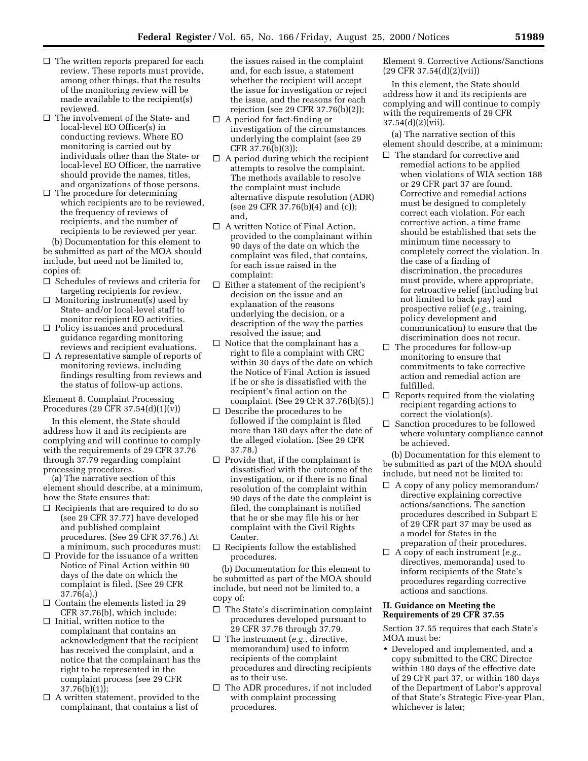- $\Box$  The written reports prepared for each review. These reports must provide, among other things, that the results of the monitoring review will be made available to the recipient(s) reviewed.
- $\Box$  The involvement of the State- and local-level EO Officer(s) in conducting reviews. Where EO monitoring is carried out by individuals other than the State- or local-level EO Officer, the narrative should provide the names, titles, and organizations of those persons.
- $\hfill\Box$  <br> The procedure for determining which recipients are to be reviewed, the frequency of reviews of recipients, and the number of recipients to be reviewed per year.

(b) Documentation for this element to be submitted as part of the MOA should include, but need not be limited to, copies of:

- $\Box$  Schedules of reviews and criteria for targeting recipients for review.
- $\Box$  Monitoring instrument(s) used by State- and/or local-level staff to monitor recipient EO activities.
- $\Box$  Policy issuances and procedural guidance regarding monitoring reviews and recipient evaluations.
- $\Box$  A representative sample of reports of monitoring reviews, including findings resulting from reviews and the status of follow-up actions.

### Element 8. Complaint Processing Procedures (29 CFR 37.54(d)(1)(v))

In this element, the State should address how it and its recipients are complying and will continue to comply with the requirements of 29 CFR 37.76 through 37.79 regarding complaint processing procedures.

(a) The narrative section of this element should describe, at a minimum, how the State ensures that:

- $\Box$  Recipients that are required to do so (see 29 CFR 37.77) have developed and published complaint procedures. (See 29 CFR 37.76.) At a minimum, such procedures must:
- $\Box$  Provide for the issuance of a written Notice of Final Action within 90 days of the date on which the complaint is filed. (See 29 CFR 37.76(a).)
- $\square$  Contain the elements listed in 29 CFR 37.76(b), which include:
- $\Box$  Initial, written notice to the complainant that contains an acknowledgment that the recipient has received the complaint, and a notice that the complainant has the right to be represented in the complaint process (see 29 CFR 37.76(b)(1));
- $\Box$  A written statement, provided to the complainant, that contains a list of

the issues raised in the complaint and, for each issue, a statement whether the recipient will accept the issue for investigation or reject the issue, and the reasons for each rejection (see 29 CFR 37.76(b)(2));

- $\Box$  A period for fact-finding or investigation of the circumstances underlying the complaint (see 29 CFR 37.76(b)(3));
- $\Box$  A period during which the recipient attempts to resolve the complaint. The methods available to resolve the complaint must include alternative dispute resolution (ADR) (see 29 CFR 37.76(b)(4) and (c)); and,
- $\Box$  A written Notice of Final Action, provided to the complainant within 90 days of the date on which the complaint was filed, that contains, for each issue raised in the complaint:
- $\square$  Either a statement of the recipient's decision on the issue and an explanation of the reasons underlying the decision, or a description of the way the parties resolved the issue; and
- $\Box$  Notice that the complainant has a right to file a complaint with CRC within 30 days of the date on which the Notice of Final Action is issued if he or she is dissatisfied with the recipient's final action on the complaint. (See 29 CFR 37.76(b)(5).)
- $\square$  Describe the procedures to be followed if the complaint is filed more than 180 days after the date of the alleged violation. (See 29 CFR 37.78.)
- $\Box$  Provide that, if the complainant is dissatisfied with the outcome of the investigation, or if there is no final resolution of the complaint within 90 days of the date the complaint is filed, the complainant is notified that he or she may file his or her complaint with the Civil Rights Center.
- $\Box$  Recipients follow the established procedures.

(b) Documentation for this element to be submitted as part of the MOA should include, but need not be limited to, a copy of:

- $\square$  The State's discrimination complaint procedures developed pursuant to 29 CFR 37.76 through 37.79.
- $\Box$  The instrument (*e.g.*, directive, memorandum) used to inform recipients of the complaint procedures and directing recipients as to their use.
- $\Box$  The ADR procedures, if not included with complaint processing procedures.

Element 9. Corrective Actions/Sanctions (29 CFR 37.54(d)(2)(vii))

In this element, the State should address how it and its recipients are complying and will continue to comply with the requirements of 29 CFR 37.54(d)(2)(vii).

(a) The narrative section of this element should describe, at a minimum:

- $\square$  The standard for corrective and remedial actions to be applied when violations of WIA section 188 or 29 CFR part 37 are found. Corrective and remedial actions must be designed to completely correct each violation. For each corrective action, a time frame should be established that sets the minimum time necessary to completely correct the violation. In the case of a finding of discrimination, the procedures must provide, where appropriate, for retroactive relief (including but not limited to back pay) and prospective relief (*e.g.*, training, policy development and communication) to ensure that the discrimination does not recur.
- $\Box$  The procedures for follow-up monitoring to ensure that commitments to take corrective action and remedial action are fulfilled.
- $\Box$  Reports required from the violating recipient regarding actions to correct the violation(s).
- $\Box$  Sanction procedures to be followed where voluntary compliance cannot be achieved.

(b) Documentation for this element to be submitted as part of the MOA should include, but need not be limited to:

- $\Box$  A copy of any policy memorandum/ directive explaining corrective actions/sanctions. The sanction procedures described in Subpart E of 29 CFR part 37 may be used as a model for States in the preparation of their procedures.
- $\Box$  A copy of each instrument (*e.g.*, directives, memoranda) used to inform recipients of the State's procedures regarding corrective actions and sanctions.

#### **II. Guidance on Meeting the Requirements of 29 CFR 37.55**

Section 37.55 requires that each State's MOA must be:

• Developed and implemented, and a copy submitted to the CRC Director within 180 days of the effective date of 29 CFR part 37, or within 180 days of the Department of Labor's approval of that State's Strategic Five-year Plan, whichever is later;